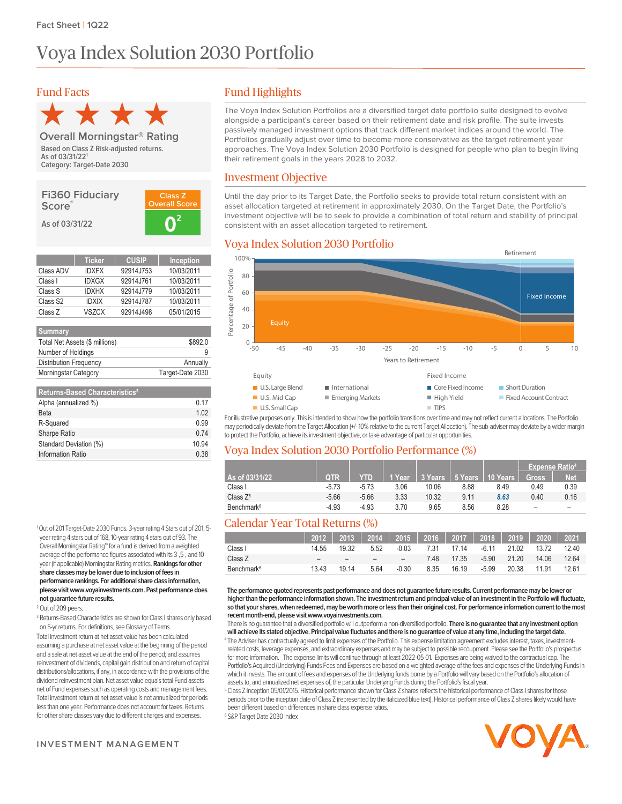# Voya Index Solution 2030 Portfolio

# Fund Facts



**Category: Target-Date 2030 Based on Class Z Risk-adjusted returns. As of 03/31/22<sup>1</sup> Overall Morningstar® Rating**

**Fi360 Fiduciary Score® As of 03/31/22 0**



|                      | <b>Ticker</b> | <b>CUSIP</b> | <b>Inception</b> |
|----------------------|---------------|--------------|------------------|
| Class ADV            | <b>IDXFX</b>  | 92914J753    | 10/03/2011       |
| Class I              | <b>IDXGX</b>  | 92914J761    | 10/03/2011       |
| Class S              | <b>IDXHX</b>  | 92914J779    | 10/03/2011       |
| Class S <sub>2</sub> | <b>IDXIX</b>  | 92914J787    | 10/03/2011       |
| Class Z              | VSZCX         | 92914J498    | 05/01/2015       |

| \$892.0          |
|------------------|
|                  |
| Annually         |
| Target-Date 2030 |
|                  |

| <b>Returns-Based Characteristics<sup>3</sup></b> |       |
|--------------------------------------------------|-------|
| Alpha (annualized %)                             | 0.17  |
| Beta                                             | 102   |
| R-Squared                                        | 0.99  |
| Sharpe Ratio                                     | 0.74  |
| Standard Deviation (%)                           | 10 94 |
| <b>Information Ratio</b>                         | 0.38  |

<sup>1</sup>Out of 201 Target-Date 2030 Funds. 3-yearrating 4 Stars out of 201, 5 year rating 4 stars out of 168, 10-year rating 4 stars out of 93. The Overall Morningstar Rating™ for a fund is derived from a weighted average of the performance figures associated with its 3-,5-, and10 year (if applicable) Morningstar Rating metrics. Rankings for other share classes may be lower due to inclusion of fees in **performance rankings. For additional share class information, please visitwww.voyainvestments.com. Past performance does not guaranteefuture results.**

<sup>2</sup> Out of 209 peers.

<sup>3</sup> Returns-Based Characteristics are shown for Class I shares only based on 5-yr returns. For definitions, see Glossary of Terms.

Total investment return at net asset value has been calculated assuming a purchase at net asset value at the beginning of the period and a sale at net asset value at the end of the period; and assumes reinvestment of dividends, capital gain distribution and return of capital distributions/allocations, if any, in accordance with the provisions of the dividend reinvestment plan. Net asset value equals total Fund assets net of Fund expenses such as operating costs and management fees. Total investment return at net asset value is not annualized for periods less than one year. Performance does not account for taxes. Returns for other share classes vary due to different charges and expenses.

The Voya Index Solution Portfolios are a diversified target date portfolio suite designed to evolve alongside a participant's career based on their retirement date and risk profile. The suite invests passively managed investment options that track different market indices around the world. The Portfolios gradually adjust over time to become more conservative as the target retirement year approaches. The Voya Index Solution 2030 Portfolio is designed for people who plan to begin living their retirement goals in the years 2028 to 2032.

## Investment Objective

Until the day prior to its Target Date, the Portfolio seeks to provide total return consistent with an asset allocation targeted at retirement in approximately 2030. On the Target Date, the Portfolio's investment objective will be to seek to provide a combination of total return and stability of principal consistent with an asset allocation targeted to retirement.

# Voya Index Solution 2030 Portfolio



For illustrative purposes only. This is intended to show how the portfolio transitions over time and may not reflect current allocations. The Portfolio may periodically deviate from the Target Allocation (+/-10%relative to the current Target Allocation). The sub-adviser may deviate by a wider margin to protect the Portfolio, achieve its investment objective, or take advantage of particular opportunities.

## Voya Index Solution 2030 Portfolio Performance (%)

|                        |            |            |        |       |      |                              | <b>Expense Ratio<sup>4</sup></b> |      |
|------------------------|------------|------------|--------|-------|------|------------------------------|----------------------------------|------|
| As of 03/31/22         | <b>QTR</b> | <b>YTD</b> | 1 Year |       |      | 3 Years   5 Years   10 Years | <b>Gross</b>                     | Net. |
| Class I                | $-5.73$    | $-5.73$    | 3.06   | 10.06 | 8.88 | 8.49                         | 0.49                             | 0.39 |
| Class $Z^5$            | $-5.66$    | $-5.66$    | 3.33   | 10.32 | 9.11 | 8.63                         | 0.40                             | 0.16 |
| Benchmark <sup>6</sup> | $-4.93$    | $-4.93$    | 3.70   | 9.65  | 8.56 | 8.28                         | -                                | -    |

## Calendar Year Total Returns (%)

|                        |       |       | 2012   2013   2014   2015   2016   2017   2018   2019   2020   2021 |                          |      |       |         |                   |       |       |
|------------------------|-------|-------|---------------------------------------------------------------------|--------------------------|------|-------|---------|-------------------|-------|-------|
| Class I                | 14 55 | 19.32 | 5.52                                                                | -0.03                    | 7.31 | 17 14 |         | -6.11 21.02 13.72 |       | 12.40 |
| Class Z                | -     |       |                                                                     | $\overline{\phantom{a}}$ | 7 48 | 17.35 |         | -5.90 21.20       | 14.06 | 12.64 |
| Benchmark <sup>6</sup> | 13.43 | 19 14 | 5.64                                                                | $-0.30$                  | 8.35 | 16.19 | $-5.99$ | 20.38             | 11.91 | 12.61 |

**The performance quoted represents past performance and does not guaranteefuture results. Current performance may be lower or higherthanthe performance information shown. The investment return and principal value of an investment inthe Portfoliowillfluctuate,** so that your shares, when redeemed, may be worth more or less than their original cost. For performance information current to the most **recent month-end, please visitwww.voyainvestments.com.**

There is no guarantee that a diversified portfolio will outperform a non-diversified portfolio. **There is no guaranteethat any investment option** will achieve its stated objective. Principal value fluctuates and there is no guarantee of value at any time, including the target date. <sup>4</sup> The Adviser has contractually agreed to limit expenses of the Portfolio. This expense limitation agreement excludes interest, taxes, investmentrelated costs, leverage expenses, and extraordinary expenses and may be subject to possiblerecoupment. Please see the Portfolio's prospectus

for more information. The expense limits will continue through at least 2022-05-01. Expenses are being waived to the contractual cap. The Portfolio's Acquired (Underlying) Funds Fees and Expenses are based on a weighted average of the fees and expenses of the Underlying Funds in which it invests. The amount of fees and expenses of the Underlying funds borne by a Portfolio will vary based on the Portfolio's allocation of assets to, and annualized net expenses of, the particular Underlying Funds during the Portfolio's fiscal year

<sup>5</sup> Class Z Inception 05/01/2015. Historical performance shown for Class Z shares reflects the historical performance of Class I shares for those periods prior to the inception date of Class Z (represented by the italicized blue text). Historical performance of Class Z shares likely would have been different based on differences in share class expense ratios. <sup>6</sup> S&P Target Date 2030 Index



**INVESTMENT MANAGEMENT**